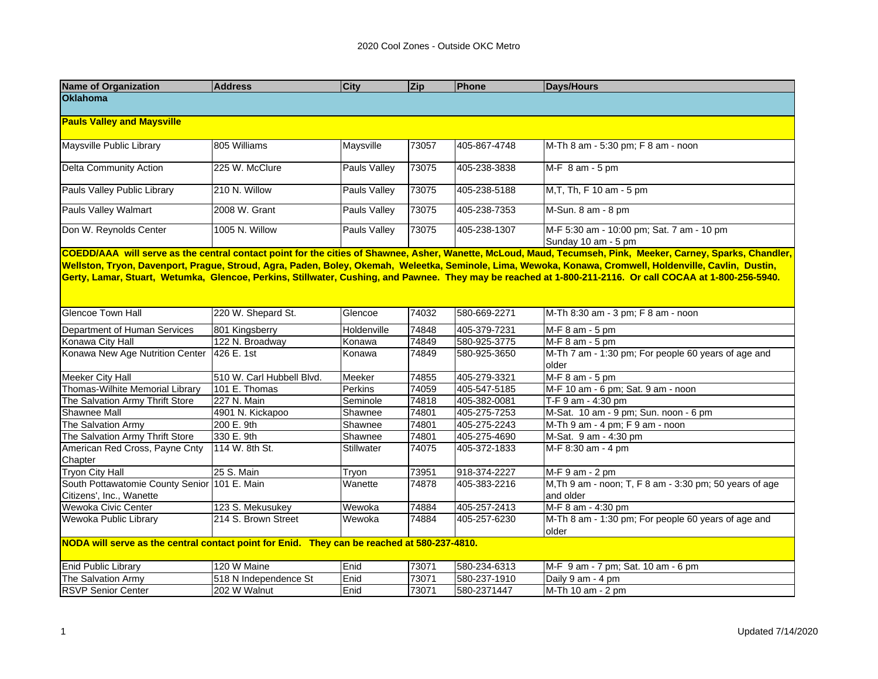| <b>Name of Organization</b>                                                                                                                                                                                                                                                                                           | <b>Address</b>            | <b>City</b>         | Zip   | Phone        | <b>Days/Hours</b>                                                                                                                                                                                                                |  |  |  |  |
|-----------------------------------------------------------------------------------------------------------------------------------------------------------------------------------------------------------------------------------------------------------------------------------------------------------------------|---------------------------|---------------------|-------|--------------|----------------------------------------------------------------------------------------------------------------------------------------------------------------------------------------------------------------------------------|--|--|--|--|
| <b>Oklahoma</b>                                                                                                                                                                                                                                                                                                       |                           |                     |       |              |                                                                                                                                                                                                                                  |  |  |  |  |
| <b>Pauls Valley and Maysville</b>                                                                                                                                                                                                                                                                                     |                           |                     |       |              |                                                                                                                                                                                                                                  |  |  |  |  |
| Maysville Public Library                                                                                                                                                                                                                                                                                              | 805 Williams              | Maysville           | 73057 | 405-867-4748 | M-Th 8 am - 5:30 pm; F 8 am - noon                                                                                                                                                                                               |  |  |  |  |
| <b>Delta Community Action</b>                                                                                                                                                                                                                                                                                         | 225 W. McClure            | <b>Pauls Valley</b> | 73075 | 405-238-3838 | $MF 8 am - 5 pm$                                                                                                                                                                                                                 |  |  |  |  |
| Pauls Valley Public Library                                                                                                                                                                                                                                                                                           | 210 N. Willow             | <b>Pauls Valley</b> | 73075 | 405-238-5188 | M, T, Th, F 10 am - 5 pm                                                                                                                                                                                                         |  |  |  |  |
| Pauls Valley Walmart                                                                                                                                                                                                                                                                                                  | 2008 W. Grant             | Pauls Valley        | 73075 | 405-238-7353 | M-Sun. 8 am - 8 pm                                                                                                                                                                                                               |  |  |  |  |
| Don W. Reynolds Center                                                                                                                                                                                                                                                                                                | 1005 N. Willow            | Pauls Valley        | 73075 | 405-238-1307 | M-F 5:30 am - 10:00 pm; Sat. 7 am - 10 pm<br>Sunday 10 am - 5 pm<br>COEDD/AAA will serve as the central contact point for the cities of Shawnee, Asher, Wanette, McLoud, Maud, Tecumseh, Pink, Meeker, Carney, Sparks, Chandler, |  |  |  |  |
| Wellston, Tryon, Davenport, Prague, Stroud, Agra, Paden, Boley, Okemah, Weleetka, Seminole, Lima, Wewoka, Konawa, Cromwell, Holdenville, Cavlin, Dustin,<br>Gerty, Lamar, Stuart, Wetumka, Glencoe, Perkins, Stillwater, Cushing, and Pawnee. They may be reached at 1-800-211-2116. Or call COCAA at 1-800-256-5940. |                           |                     |       |              |                                                                                                                                                                                                                                  |  |  |  |  |
| <b>Glencoe Town Hall</b>                                                                                                                                                                                                                                                                                              | 220 W. Shepard St.        | Glencoe             | 74032 | 580-669-2271 | M-Th 8:30 am - 3 pm; F 8 am - noon                                                                                                                                                                                               |  |  |  |  |
| Department of Human Services                                                                                                                                                                                                                                                                                          | 801 Kingsberry            | Holdenville         | 74848 | 405-379-7231 | M-F 8 am - 5 pm                                                                                                                                                                                                                  |  |  |  |  |
| Konawa City Hall                                                                                                                                                                                                                                                                                                      | 122 N. Broadway           | Konawa              | 74849 | 580-925-3775 | $M-F 8 am - 5 pm$                                                                                                                                                                                                                |  |  |  |  |
| Konawa New Age Nutrition Center                                                                                                                                                                                                                                                                                       | 426 E. 1st                | Konawa              | 74849 | 580-925-3650 | M-Th 7 am - 1:30 pm; For people 60 years of age and<br>older                                                                                                                                                                     |  |  |  |  |
| <b>Meeker City Hall</b>                                                                                                                                                                                                                                                                                               | 510 W. Carl Hubbell Blvd. | Meeker              | 74855 | 405-279-3321 | M-F 8 am - 5 pm                                                                                                                                                                                                                  |  |  |  |  |
| Thomas-Wilhite Memorial Library                                                                                                                                                                                                                                                                                       | 101 E. Thomas             | Perkins             | 74059 | 405-547-5185 | M-F 10 am - 6 pm; Sat. 9 am - noon                                                                                                                                                                                               |  |  |  |  |
| The Salvation Army Thrift Store                                                                                                                                                                                                                                                                                       | 227 N. Main               | Seminole            | 74818 | 405-382-0081 | T-F 9 am - 4:30 pm                                                                                                                                                                                                               |  |  |  |  |
| Shawnee Mall                                                                                                                                                                                                                                                                                                          | 4901 N. Kickapoo          | Shawnee             | 74801 | 405-275-7253 | M-Sat. 10 am - 9 pm; Sun. noon - 6 pm                                                                                                                                                                                            |  |  |  |  |
| The Salvation Army                                                                                                                                                                                                                                                                                                    | 200 E. 9th                | Shawnee             | 74801 | 405-275-2243 | M-Th 9 am - 4 pm; F 9 am - noon                                                                                                                                                                                                  |  |  |  |  |
| The Salvation Army Thrift Store                                                                                                                                                                                                                                                                                       | 330 E. 9th                | Shawnee             | 74801 | 405-275-4690 | M-Sat. 9 am - 4:30 pm                                                                                                                                                                                                            |  |  |  |  |
| American Red Cross, Payne Cnty<br>Chapter                                                                                                                                                                                                                                                                             | 114 W. 8th St.            | Stillwater          | 74075 | 405-372-1833 | M-F 8:30 am - 4 pm                                                                                                                                                                                                               |  |  |  |  |
| <b>Tryon City Hall</b>                                                                                                                                                                                                                                                                                                | 25 S. Main                | Tryon               | 73951 | 918-374-2227 | $M-F 9 am - 2 pm$                                                                                                                                                                                                                |  |  |  |  |
| South Pottawatomie County Senior 101 E. Main<br>Citizens', Inc., Wanette                                                                                                                                                                                                                                              |                           | Wanette             | 74878 | 405-383-2216 | M, Th 9 am - noon; T, F 8 am - 3:30 pm; 50 years of age<br>and older                                                                                                                                                             |  |  |  |  |
| Wewoka Civic Center                                                                                                                                                                                                                                                                                                   | 123 S. Mekusukey          | Wewoka              | 74884 | 405-257-2413 | M-F 8 am - 4:30 pm                                                                                                                                                                                                               |  |  |  |  |
| Wewoka Public Library                                                                                                                                                                                                                                                                                                 | 214 S. Brown Street       | Wewoka              | 74884 | 405-257-6230 | M-Th 8 am - 1:30 pm; For people 60 years of age and<br>older                                                                                                                                                                     |  |  |  |  |
| NODA will serve as the central contact point for Enid. They can be reached at 580-237-4810.                                                                                                                                                                                                                           |                           |                     |       |              |                                                                                                                                                                                                                                  |  |  |  |  |
| <b>Enid Public Library</b>                                                                                                                                                                                                                                                                                            | 120 W Maine               | Enid                | 73071 | 580-234-6313 | M-F 9 am - 7 pm; Sat. 10 am - 6 pm                                                                                                                                                                                               |  |  |  |  |
| The Salvation Army                                                                                                                                                                                                                                                                                                    | 518 N Independence St     | Enid                | 73071 | 580-237-1910 | Daily 9 am - 4 pm                                                                                                                                                                                                                |  |  |  |  |
| <b>RSVP Senior Center</b>                                                                                                                                                                                                                                                                                             | 202 W Walnut              | Enid                | 73071 | 580-2371447  | M-Th 10 am - 2 pm                                                                                                                                                                                                                |  |  |  |  |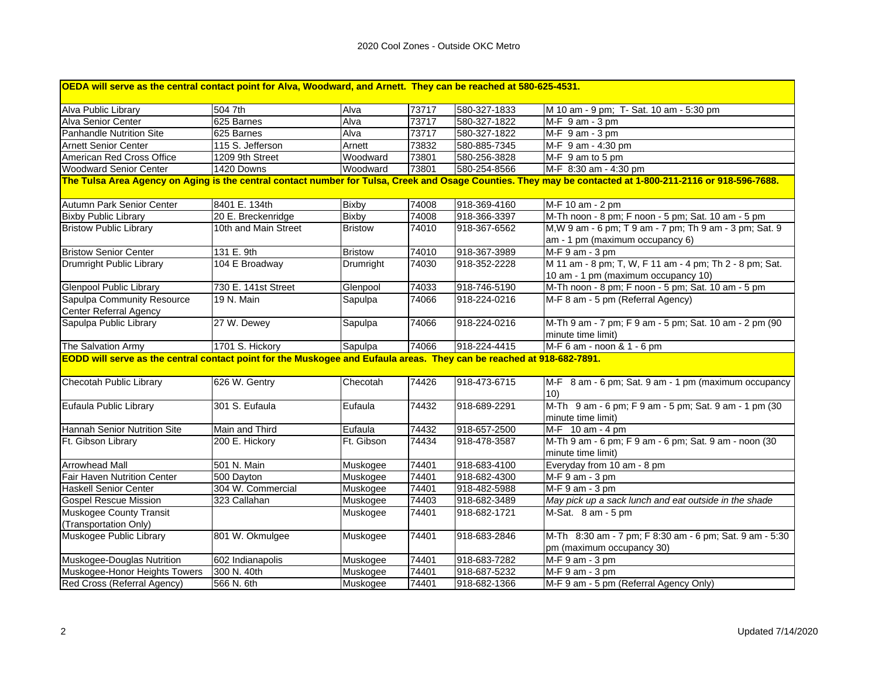| OEDA will serve as the central contact point for Alva, Woodward, and Arnett. They can be reached at 580-625-4531.                                                                                                                                                     |                      |                |       |              |                                                                                      |  |  |  |
|-----------------------------------------------------------------------------------------------------------------------------------------------------------------------------------------------------------------------------------------------------------------------|----------------------|----------------|-------|--------------|--------------------------------------------------------------------------------------|--|--|--|
| Alva Public Library                                                                                                                                                                                                                                                   | 504 7th              | Alva           | 73717 | 580-327-1833 | M 10 am - 9 pm; T- Sat. 10 am - 5:30 pm                                              |  |  |  |
| Alva Senior Center                                                                                                                                                                                                                                                    | 625 Barnes           | Alva           | 73717 | 580-327-1822 | M-F 9 am - 3 pm                                                                      |  |  |  |
| Panhandle Nutrition Site                                                                                                                                                                                                                                              | 625 Barnes           | Alva           | 73717 | 580-327-1822 | $MF$ 9 am - 3 pm                                                                     |  |  |  |
| <b>Arnett Senior Center</b>                                                                                                                                                                                                                                           | 115 S. Jefferson     | Arnett         | 73832 | 580-885-7345 | M-F 9 am - 4:30 pm                                                                   |  |  |  |
| American Red Cross Office                                                                                                                                                                                                                                             | 1209 9th Street      | Woodward       | 73801 | 580-256-3828 | M-F 9 am to 5 pm                                                                     |  |  |  |
| <b>Woodward Senior Center</b>                                                                                                                                                                                                                                         | 1420 Downs           | Woodward       | 73801 | 580-254-8566 | M-F 8:30 am - 4:30 pm                                                                |  |  |  |
| The Tulsa Area Agency on Aging is the central contact number for Tulsa, Creek and Osage Counties. They may be contacted at 1-800-211-2116 or 918-596-7688.                                                                                                            |                      |                |       |              |                                                                                      |  |  |  |
| Autumn Park Senior Center                                                                                                                                                                                                                                             | 8401 E. 134th        | <b>Bixby</b>   | 74008 | 918-369-4160 | M-F 10 am - 2 pm                                                                     |  |  |  |
| <b>Bixby Public Library</b>                                                                                                                                                                                                                                           | 20 E. Breckenridge   | <b>Bixby</b>   | 74008 | 918-366-3397 | M-Th noon - 8 pm; F noon - 5 pm; Sat. 10 am - 5 pm                                   |  |  |  |
| <b>Bristow Public Library</b>                                                                                                                                                                                                                                         | 10th and Main Street | <b>Bristow</b> | 74010 | 918-367-6562 | M, W 9 am - 6 pm; T 9 am - 7 pm; Th 9 am - 3 pm; Sat. 9                              |  |  |  |
|                                                                                                                                                                                                                                                                       |                      |                |       |              | am - 1 pm (maximum occupancy 6)                                                      |  |  |  |
| <b>Bristow Senior Center</b>                                                                                                                                                                                                                                          | 131 E. 9th           | <b>Bristow</b> | 74010 | 918-367-3989 | M-F 9 am - 3 pm                                                                      |  |  |  |
| Drumright Public Library                                                                                                                                                                                                                                              | 104 E Broadway       | Drumright      | 74030 | 918-352-2228 | M 11 am - 8 pm; T, W, F 11 am - 4 pm; Th 2 - 8 pm; Sat.                              |  |  |  |
|                                                                                                                                                                                                                                                                       |                      |                |       |              | 10 am - 1 pm (maximum occupancy 10)                                                  |  |  |  |
| <b>Glenpool Public Library</b>                                                                                                                                                                                                                                        | 730 E. 141st Street  | Glenpool       | 74033 | 918-746-5190 | M-Th noon - 8 pm; F noon - 5 pm; Sat. 10 am - 5 pm                                   |  |  |  |
| Sapulpa Community Resource                                                                                                                                                                                                                                            | 19 N. Main           | Sapulpa        | 74066 | 918-224-0216 | M-F 8 am - 5 pm (Referral Agency)                                                    |  |  |  |
| Center Referral Agency                                                                                                                                                                                                                                                |                      |                |       |              |                                                                                      |  |  |  |
| Sapulpa Public Library                                                                                                                                                                                                                                                | 27 W. Dewey          | Sapulpa        | 74066 | 918-224-0216 | M-Th 9 am - 7 pm; F 9 am - 5 pm; Sat. 10 am - 2 pm (90<br>minute time limit)         |  |  |  |
| The Salvation Army                                                                                                                                                                                                                                                    | 1701 S. Hickory      | Sapulpa        | 74066 | 918-224-4415 | M-F 6 am - noon & 1 - 6 pm                                                           |  |  |  |
| EODD will serve as the central contact point for the Muskogee and Eufaula areas. They can be reached at 918-682-7891.<br><b>Checotah Public Library</b><br>626 W. Gentry<br>74426<br>918-473-6715<br>Checotah<br>M-F 8 am - 6 pm; Sat. 9 am - 1 pm (maximum occupancy |                      |                |       |              |                                                                                      |  |  |  |
|                                                                                                                                                                                                                                                                       |                      |                |       |              | 10)                                                                                  |  |  |  |
| Eufaula Public Library                                                                                                                                                                                                                                                | 301 S. Eufaula       | Eufaula        | 74432 | 918-689-2291 | M-Th 9 am - 6 pm; F 9 am - 5 pm; Sat. 9 am - 1 pm (30<br>minute time limit)          |  |  |  |
| <b>Hannah Senior Nutrition Site</b>                                                                                                                                                                                                                                   | Main and Third       | Eufaula        | 74432 | 918-657-2500 | M-F 10 am - 4 pm                                                                     |  |  |  |
| Ft. Gibson Library                                                                                                                                                                                                                                                    | 200 E. Hickory       | Ft. Gibson     | 74434 | 918-478-3587 | M-Th 9 am - 6 pm; F 9 am - 6 pm; Sat. 9 am - noon (30<br>minute time limit)          |  |  |  |
| <b>Arrowhead Mall</b>                                                                                                                                                                                                                                                 | 501 N. Main          | Muskogee       | 74401 | 918-683-4100 | Everyday from 10 am - 8 pm                                                           |  |  |  |
| <b>Fair Haven Nutrition Center</b>                                                                                                                                                                                                                                    | 500 Dayton           | Muskogee       | 74401 | 918-682-4300 | M-F 9 am - 3 pm                                                                      |  |  |  |
| <b>Haskell Senior Center</b>                                                                                                                                                                                                                                          | 304 W. Commercial    | Muskogee       | 74401 | 918-482-5988 | M-F 9 am - 3 pm                                                                      |  |  |  |
| <b>Gospel Rescue Mission</b>                                                                                                                                                                                                                                          | 323 Callahan         | Muskogee       | 74403 | 918-682-3489 | May pick up a sack lunch and eat outside in the shade                                |  |  |  |
| Muskogee County Transit<br>(Transportation Only)                                                                                                                                                                                                                      |                      | Muskogee       | 74401 | 918-682-1721 | M-Sat. 8 am - 5 pm                                                                   |  |  |  |
| Muskogee Public Library                                                                                                                                                                                                                                               | 801 W. Okmulgee      | Muskogee       | 74401 | 918-683-2846 | M-Th 8:30 am - 7 pm; F 8:30 am - 6 pm; Sat. 9 am - 5:30<br>pm (maximum occupancy 30) |  |  |  |
| Muskogee-Douglas Nutrition                                                                                                                                                                                                                                            | 602 Indianapolis     | Muskogee       | 74401 | 918-683-7282 | M-F 9 am - 3 pm                                                                      |  |  |  |
| Muskogee-Honor Heights Towers                                                                                                                                                                                                                                         | 300 N. 40th          | Muskogee       | 74401 | 918-687-5232 | M-F 9 am - 3 pm                                                                      |  |  |  |
| Red Cross (Referral Agency)                                                                                                                                                                                                                                           | 566 N. 6th           | Muskogee       | 74401 | 918-682-1366 | M-F 9 am - 5 pm (Referral Agency Only)                                               |  |  |  |